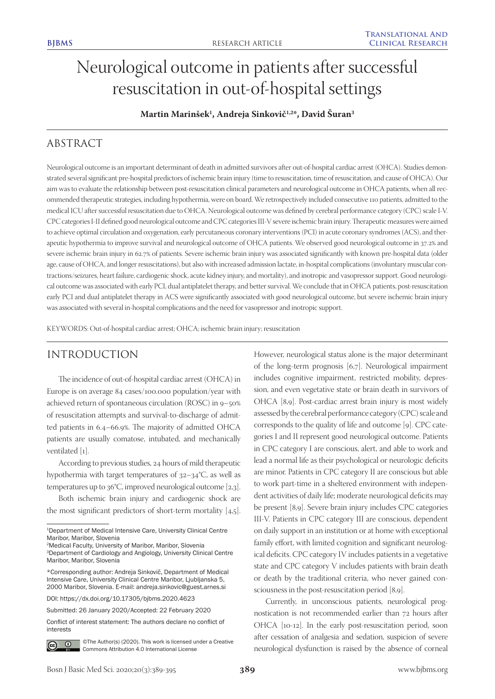# Neurological outcome in patients after successful resuscitation in out-of-hospital settings

**Martin Marinšek1 , Andreja Sinkovič1,2\*, David Šuran3**

# ABSTRACT

Neurological outcome is an important determinant of death in admitted survivors after out-of-hospital cardiac arrest (OHCA). Studies demonstrated several significant pre-hospital predictors of ischemic brain injury (time to resuscitation, time of resuscitation, and cause of OHCA). Our aim was to evaluate the relationship between post-resuscitation clinical parameters and neurological outcome in OHCA patients, when all recommended therapeutic strategies, including hypothermia, were on board. We retrospectively included consecutive 110 patients, admitted to the medical ICU after successful resuscitation due to OHCA. Neurological outcome was defined by cerebral performance category (CPC) scale I-V. CPC categories I-II defined good neurological outcome and CPC categories III-V severe ischemic brain injury. Therapeutic measures were aimed to achieve optimal circulation and oxygenation, early percutaneous coronary interventions (PCI) in acute coronary syndromes (ACS), and therapeutic hypothermia to improve survival and neurological outcome of OHCA patients. We observed good neurological outcome in 37.2% and severe ischemic brain injury in 62.7% of patients. Severe ischemic brain injury was associated significantly with known pre-hospital data (older age, cause of OHCA, and longer resuscitations), but also with increased admission lactate, in-hospital complications (involuntary muscular contractions/seizures, heart failure, cardiogenic shock, acute kidney injury, and mortality), and inotropic and vasopressor support. Good neurological outcome was associated with early PCI, dual antiplatelet therapy, and better survival. We conclude that in OHCA patients, post-resuscitation early PCI and dual antiplatelet therapy in ACS were significantly associated with good neurological outcome, but severe ischemic brain injury was associated with several in-hospital complications and the need for vasopressor and inotropic support.

KEYWORDS: Out-of-hospital cardiac arrest; OHCA; ischemic brain injury; resuscitation

# INTRODUCTION

The incidence of out-of-hospital cardiac arrest (OHCA) in Europe is on average 84 cases/100.000 population/year with achieved return of spontaneous circulation (ROSC) in 9–50% of resuscitation attempts and survival-to-discharge of admitted patients in 6.4–66.9%. The majority of admitted OHCA patients are usually comatose, intubated, and mechanically ventilated [1].

According to previous studies, 24 hours of mild therapeutic hypothermia with target temperatures of 32–34°C, as well as temperatures up to 36°C, improved neurological outcome [2,3].

Both ischemic brain injury and cardiogenic shock are the most significant predictors of short-term mortality [4,5].

2Medical Faculty, University of Maribor, Maribor, Slovenia

DOI: https://dx.doi.org/10.17305/bjbms.2020.4623

Submitted: 26 January 2020/Accepted: 22 February 2020

Conflict of interest statement: The authors declare no conflict of interests



©The Author(s) (2020). This work is licensed under a Creative Commons Attribution 4.0 International License

However, neurological status alone is the major determinant of the long-term prognosis [6,7]. Neurological impairment includes cognitive impairment, restricted mobility, depression, and even vegetative state or brain death in survivors of OHCA [8,9]. Post-cardiac arrest brain injury is most widely assessed by the cerebral performance category (CPC) scale and corresponds to the quality of life and outcome [9]. CPC categories I and II represent good neurological outcome. Patients in CPC category I are conscious, alert, and able to work and lead a normal life as their psychological or neurologic deficits are minor. Patients in CPC category II are conscious but able to work part-time in a sheltered environment with independent activities of daily life; moderate neurological deficits may be present [8,9]. Severe brain injury includes CPC categories III-V. Patients in CPC category III are conscious, dependent on daily support in an institution or at home with exceptional family effort, with limited cognition and significant neurological deficits. CPC category IV includes patients in a vegetative state and CPC category V includes patients with brain death or death by the traditional criteria, who never gained consciousness in the post-resuscitation period [8,9].

Currently, in unconscious patients, neurological prognostication is not recommended earlier than 72 hours after OHCA [10-12]. In the early post-resuscitation period, soon after cessation of analgesia and sedation, suspicion of severe neurological dysfunction is raised by the absence of corneal

<sup>1</sup>Department of Medical Intensive Care, University Clinical Centre Maribor, Maribor, Slovenia

<sup>3</sup>Department of Cardiology and Angiology, University Clinical Centre Maribor, Maribor, Slovenia

<sup>\*</sup>Corresponding author: Andreja Sinkovič, Department of Medical Intensive Care, University Clinical Centre Maribor, Ljubljanska 5, 2000 Maribor, Slovenia. E-mail: andreja.sinkovic@guest.arnes.si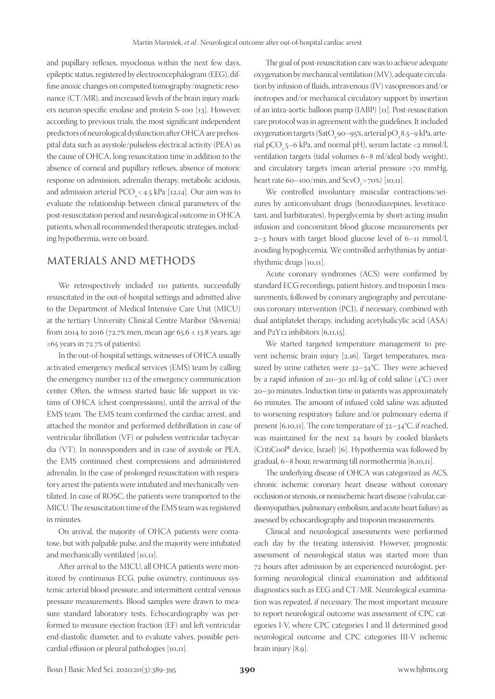and pupillary reflexes, myoclonus within the next few days, epileptic status, registered by electroencephalogram (EEG), diffuse anoxic changes on computed tomography/magnetic resonance (CT/MR), and increased levels of the brain injury markers neuron-specific enolase and protein S-100 [13]. However, according to previous trials, the most significant independent predictors of neurological dysfunction after OHCA are prehospital data such as asystole/pulseless electrical activity (PEA) as the cause of OHCA, long resuscitation time in addition to the absence of corneal and pupillary reflexes, absence of motoric response on admission, adrenalin therapy, metabolic acidosis, and admission arterial PCO<sub>2</sub> < 4.5 kPa [12,14]. Our aim was to evaluate the relationship between clinical parameters of the post-resuscitation period and neurological outcome in OHCA patients, when all recommended therapeutic strategies, including hypothermia, were on board.

# MATERIALS AND METHODS

We retrospectively included 110 patients, successfully resuscitated in the out-of-hospital settings and admitted alive to the Department of Medical Intensive Care Unit (MICU) at the tertiary University Clinical Centre Maribor (Slovenia) from 2014 to 2016 (72.7% men, mean age 65.6  $\pm$  13.8 years, age ≥65 years in 72.7% of patients).

In the out-of-hospital settings, witnesses of OHCA usually activated emergency medical services (EMS) team by calling the emergency number 112 of the emergency communication center. Often, the witness started basic life support in victims of OHCA (chest compressions), until the arrival of the EMS team. The EMS team confirmed the cardiac arrest, and attached the monitor and performed defibrillation in case of ventricular fibrillation (VF) or pulseless ventricular tachycardia (VT). In nonresponders and in case of asystole or PEA, the EMS continued chest compressions and administered adrenalin. In the case of prolonged resuscitation with respiratory arrest the patients were intubated and mechanically ventilated. In case of ROSC, the patients were transported to the MICU. The resuscitation time of the EMS team was registered in minutes.

On arrival, the majority of OHCA patients were comatose, but with palpable pulse, and the majority were intubated and mechanically ventilated [10,11].

After arrival to the MICU, all OHCA patients were monitored by continuous ECG, pulse oximetry, continuous systemic arterial blood pressure, and intermittent central venous pressure measurements. Blood samples were drawn to measure standard laboratory tests. Echocardiography was performed to measure ejection fraction (EF) and left ventricular end-diastolic diameter, and to evaluate valves, possible pericardial effusion or pleural pathologies [10,11].

The goal of post-resuscitation care was to achieve adequate oxygenation by mechanical ventilation (MV), adequate circulation by infusion of fluids, intravenous (IV) vasopressors and/or inotropes and/or mechanical circulatory support by insertion of an intra-aortic balloon pump (IABP) [11]. Post-resuscitation care protocol was in agreement with the guidelines. It included oxygenation targets (SatO<sub>2</sub> 90–95%, arterial pO<sub>2</sub> 8.5–9 kPa, arterial pCO<sub>2</sub> 5–6 kPa, and normal pH), serum lactate <2 mmol/l, ventilation targets (tidal volumes 6–8 ml/ideal body weight), and circulatory targets (mean arterial pressure >70 mmHg, heart rate 60–100/min, and ScvO<sub>2</sub> >70%) [10,11].

We controlled involuntary muscular contractions/seizures by anticonvulsant drugs (benzodiazepines, levetiracetam, and barbiturates), hyperglycemia by short-acting insulin infusion and concomitant blood glucose measurements per  $2-3$  hours with target blood glucose level of 6–11 mmol/l, avoiding hypoglycemia. We controlled arrhythmias by antiarrhythmic drugs [10,11].

Acute coronary syndromes (ACS) were confirmed by standard ECG recordings, patient history, and troponin I measurements, followed by coronary angiography and percutaneous coronary intervention (PCI), if necessary, combined with dual antiplatelet therapy, including acetylsalicylic acid (ASA) and  $P_2$ Y<sub>12</sub> inhibitors [6,11,15].

We started targeted temperature management to prevent ischemic brain injury [2,16]. Target temperatures, measured by urine catheter, were 32–34°C. They were achieved by a rapid infusion of 20–30 ml/kg of cold saline  $(4^{\circ}C)$  over 20–30 minutes. Induction time in patients was approximately 60 minutes. The amount of infused cold saline was adjusted to worsening respiratory failure and/or pulmonary edema if present [6,10,11]. The core temperature of  $32-34$ °C, if reached, was maintained for the next 24 hours by cooled blankets (CritiCool® device, Israel) [6]. Hypothermia was followed by gradual, 6–8 hour, rewarming till normothermia [6,10,11].

The underlying disease of OHCA was categorized as ACS, chronic ischemic coronary heart disease without coronary occlusion or stenosis, or nonischemic heart disease (valvular, cardiomyopathies, pulmonary embolism, and acute heart failure) as assessed by echocardiography and troponin measurements.

Clinical and neurological assessments were performed each day by the treating intensivist. However, prognostic assessment of neurological status was started more than 72 hours after admission by an experienced neurologist, performing neurological clinical examination and additional diagnostics such as EEG and CT/MR. Neurological examination was repeated, if necessary. The most important measure to report neurological outcome was assessment of CPC categories I-V, where CPC categories I and II determined good neurological outcome and CPC categories III-V ischemic brain injury [8,9].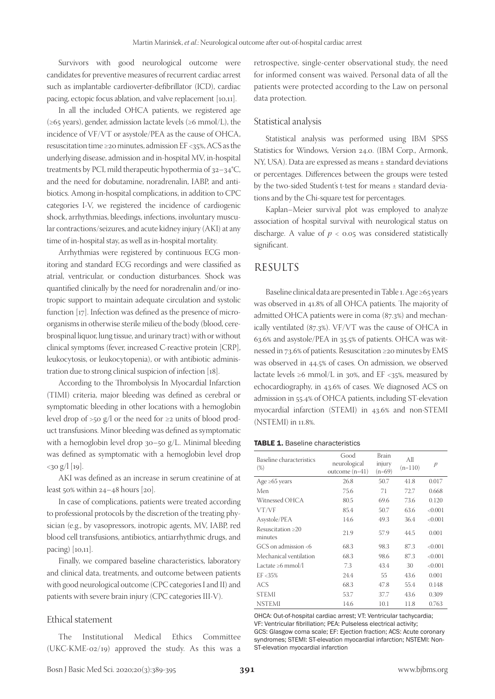Survivors with good neurological outcome were candidates for preventive measures of recurrent cardiac arrest such as implantable cardioverter-defibrillator (ICD), cardiac pacing, ectopic focus ablation, and valve replacement [10,11].

In all the included OHCA patients, we registered age (≥65 years), gender, admission lactate levels (≥6 mmol/L), the incidence of VF/VT or asystole/PEA as the cause of OHCA, resuscitation time ≥20 minutes, admission EF <35%, ACS as the underlying disease, admission and in-hospital MV, in-hospital treatments by PCI, mild therapeutic hypothermia of 32–34°C, and the need for dobutamine, noradrenalin, IABP, and antibiotics. Among in-hospital complications, in addition to CPC categories I-V, we registered the incidence of cardiogenic shock, arrhythmias, bleedings, infections, involuntary muscular contractions/seizures, and acute kidney injury (AKI) at any time of in-hospital stay, as well as in-hospital mortality.

Arrhythmias were registered by continuous ECG monitoring and standard ECG recordings and were classified as atrial, ventricular, or conduction disturbances. Shock was quantified clinically by the need for noradrenalin and/or inotropic support to maintain adequate circulation and systolic function [17]. Infection was defined as the presence of microorganisms in otherwise sterile milieu of the body (blood, cerebrospinal liquor, lung tissue, and urinary tract) with or without clinical symptoms (fever, increased C-reactive protein [CRP], leukocytosis, or leukocytopenia), or with antibiotic administration due to strong clinical suspicion of infection [18].

According to the Thrombolysis In Myocardial Infarction (TIMI) criteria, major bleeding was defined as cerebral or symptomatic bleeding in other locations with a hemoglobin level drop of >50 g/l or the need for ≥2 units of blood product transfusions. Minor bleeding was defined as symptomatic with a hemoglobin level drop 30–50 g/L. Minimal bleeding was defined as symptomatic with a hemoglobin level drop  $<$ 30 g/l [19].

AKI was defined as an increase in serum creatinine of at least 50% within 24–48 hours [20].

In case of complications, patients were treated according to professional protocols by the discretion of the treating physician (e.g., by vasopressors, inotropic agents, MV, IABP, red blood cell transfusions, antibiotics, antiarrhythmic drugs, and pacing) [10,11].

Finally, we compared baseline characteristics, laboratory and clinical data, treatments, and outcome between patients with good neurological outcome (CPC categories I and II) and patients with severe brain injury (CPC categories III-V).

#### Ethical statement

The Institutional Medical Ethics Committee (UKC-KME-02/19) approved the study. As this was a retrospective, single-center observational study, the need for informed consent was waived. Personal data of all the patients were protected according to the Law on personal data protection.

#### Statistical analysis

Statistical analysis was performed using IBM SPSS Statistics for Windows, Version 24.0. (IBM Corp., Armonk, NY, USA). Data are expressed as means ± standard deviations or percentages. Differences between the groups were tested by the two-sided Student's t-test for means ± standard deviations and by the Chi-square test for percentages.

Kaplan–Meier survival plot was employed to analyze association of hospital survival with neurological status on discharge. A value of  $p < 0.05$  was considered statistically significant.

### RESULTS

Baseline clinical data are presented in Table 1. Age ≥65 years was observed in 41.8% of all OHCA patients. The majority of admitted OHCA patients were in coma (87.3%) and mechanically ventilated (87.3%). VF/VT was the cause of OHCA in 63.6% and asystole/PEA in 35.5% of patients. OHCA was witnessed in 73.6% of patients. Resuscitation ≥20 minutes by EMS was observed in 44.5% of cases. On admission, we observed lactate levels  $\geq 6$  mmol/L in 30%, and EF <35%, measured by echocardiography, in 43.6% of cases. We diagnosed ACS on admission in 55.4% of OHCA patients, including ST-elevation myocardial infarction (STEMI) in 43.6% and non-STEMI (NSTEMI) in 11.8%.

TABLE 1. Baseline characteristics

| Baseline characteristics<br>$(\%)$ | Good<br>neurological<br>outcome $(n=41)$ | Brain<br>injury<br>$(n=69)$ | All<br>$(n=110)$ | $\mathbf{p}$ |
|------------------------------------|------------------------------------------|-----------------------------|------------------|--------------|
| Age $\geq 65$ years                | 26.8                                     | 50.7                        | 41.8             | 0.017        |
| Men                                | 75.6                                     | 71                          | 72.7             | 0.668        |
| Witnessed OHCA                     | 80.5                                     | 69.6                        | 73.6             | 0.120        |
| VT/VF                              | 85.4                                     | 50.7                        | 63.6             | < 0.001      |
| Asystole/PEA                       | 14.6                                     | 49.3                        | 36.4             | < 0.001      |
| Resuscitation >20<br>minutes       | 21.9                                     | 57.9                        | 44.5             | 0.001        |
| GCS on admission <6                | 68.3                                     | 98.3                        | 87.3             | < 0.001      |
| Mechanical ventilation             | 68.3                                     | 98.6                        | 87.3             | < 0.001      |
| Lactate $\geq 6$ mmol/l            | 7.3                                      | 43.4                        | 30               | < 0.001      |
| $EF < 35\%$                        | 24.4                                     | 55                          | 43.6             | 0.001        |
| <b>ACS</b>                         | 68.3                                     | 47.8                        | 55.4             | 0.148        |
| <b>STEMI</b>                       | 53.7                                     | 37.7                        | 43.6             | 0.309        |
| <b>NSTEMI</b>                      | 14.6                                     | 10.1                        | 11.8             | 0.763        |

OHCA: Out-of-hospital cardiac arrest; VT: Ventricular tachycardia; VF: Ventricular fibrillation; PEA: Pulseless electrical activity; GCS: Glasgow coma scale; EF: Ejection fraction; ACS: Acute coronary syndromes; STEMI: ST-elevation myocardial infarction; NSTEMI: Non-ST-elevation myocardial infarction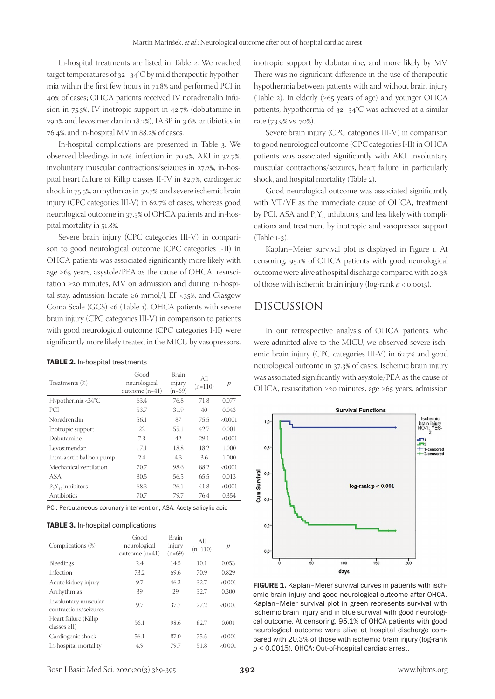In-hospital treatments are listed in Table 2. We reached target temperatures of 32–34°C by mild therapeutic hypothermia within the first few hours in 71.8% and performed PCI in 40% of cases; OHCA patients received IV noradrenalin infusion in 75.5%, IV inotropic support in 42.7% (dobutamine in 29.1% and levosimendan in 18.2%), IABP in 3.6%, antibiotics in 76.4%, and in-hospital MV in 88.2% of cases.

In-hospital complications are presented in Table 3. We observed bleedings in 10%, infection in 70.9%, AKI in 32.7%, involuntary muscular contractions/seizures in 27.2%, in-hospital heart failure of Killip classes II-IV in 82.7%, cardiogenic shock in 75.5%, arrhythmias in 32.7%, and severe ischemic brain injury (CPC categories III-V) in 62.7% of cases, whereas good neurological outcome in 37.3% of OHCA patients and in-hospital mortality in 51.8%.

Severe brain injury (CPC categories III-V) in comparison to good neurological outcome (CPC categories I-II) in OHCA patients was associated significantly more likely with age  $\geq 65$  years, asystole/PEA as the cause of OHCA, resuscitation ≥20 minutes, MV on admission and during in-hospital stay, admission lactate ≥6 mmol/l, EF <35%, and Glasgow Coma Scale (GCS) <6 (Table 1). OHCA patients with severe brain injury (CPC categories III-V) in comparison to patients with good neurological outcome (CPC categories I-II) were significantly more likely treated in the MICU by vasopressors,

#### TABLE 2. In-hospital treatments

| Treatments (%)            | Good<br>neurological<br>outcome $(n=41)$ | Brain<br>injury<br>$(n=69)$ | All<br>$(n=110)$ | p       |
|---------------------------|------------------------------------------|-----------------------------|------------------|---------|
| Hypothermia <34°C         | 63.4                                     | 76.8                        | 71.8             | 0.077   |
| <b>PCI</b>                | 53.7                                     | 31.9                        | 40               | 0.043   |
| Noradrenalin              | 56.1                                     | 87                          | 75.5             | < 0.001 |
| Inotropic support         | 22                                       | 55.1                        | 42.7             | 0.001   |
| Dobutamine                | 7.3                                      | 42                          | 29.1             | < 0.001 |
| Levosimendan              | 17.1                                     | 18.8                        | 18.2             | 1.000   |
| Intra-aortic balloon pump | 2.4                                      | 4.3                         | 3.6              | 1.000   |
| Mechanical ventilation    | 70.7                                     | 98.6                        | 88.2             | < 0.001 |
| ASA                       | 80.5                                     | 56.5                        | 65.5             | 0.013   |
| $P_2Y_{12}$ inhibitors    | 68.3                                     | 26.1                        | 41.8             | < 0.001 |
| Antibiotics               | 70.7                                     | 79.7                        | 76.4             | 0.354   |

PCI: Percutaneous coronary intervention; ASA: Acetylsalicylic acid

#### TABLE 3. In-hospital complications

| Complications (%)                                         | Good<br>neurological<br>outcome $(n=41)$ | <b>Brain</b><br>injury<br>(n=69) | All<br>$(n=110)$ | p       |
|-----------------------------------------------------------|------------------------------------------|----------------------------------|------------------|---------|
| Bleedings                                                 | 2.4                                      | 14.5                             | 10.1             | 0.053   |
| Infection                                                 | 73.2                                     | 69.6                             | 70.9             | 0.829   |
| Acute kidney injury                                       | 9.7                                      | 46.3                             | 32.7             | < 0.001 |
| Arrhythmias                                               | 39                                       | 29                               | 32.7             | 0.300   |
| Involuntary muscular<br>contractions/seizures             | 9.7                                      | 37.7                             | 27.2             | < 0.001 |
| Heart failure (Killip)<br>$\text{classes} \geq \text{II}$ | 56.1                                     | 98.6                             | 82.7             | 0.001   |
| Cardiogenic shock                                         | 56.1                                     | 87.0                             | 75.5             | < 0.001 |
| In-hospital mortality                                     | 4.9                                      | 79.7                             | 51.8             | < 0.001 |

inotropic support by dobutamine, and more likely by MV. There was no significant difference in the use of therapeutic hypothermia between patients with and without brain injury (Table 2). In elderly  $(\geq 65$  years of age) and younger OHCA patients, hypothermia of 32–34°C was achieved at a similar rate (73.9% vs. 70%).

Severe brain injury (CPC categories III-V) in comparison to good neurological outcome (CPC categories I-II) in OHCA patients was associated significantly with AKI, involuntary muscular contractions/seizures, heart failure, in particularly shock, and hospital mortality (Table 2).

Good neurological outcome was associated significantly with VT/VF as the immediate cause of OHCA, treatment by PCI, ASA and  $P_2Y_{12}$  inhibitors, and less likely with complications and treatment by inotropic and vasopressor support (Table 1-3).

Kaplan–Meier survival plot is displayed in Figure 1. At censoring, 95.1% of OHCA patients with good neurological outcome were alive at hospital discharge compared with 20.3% of those with ischemic brain injury ( $log$ -rank  $p < 0.0015$ ).

# DISCUSSION

In our retrospective analysis of OHCA patients, who were admitted alive to the MICU, we observed severe ischemic brain injury (CPC categories III-V) in 62.7% and good neurological outcome in 37.3% of cases. Ischemic brain injury was associated significantly with asystole/PEA as the cause of OHCA, resuscitation ≥20 minutes, age ≥65 years, admission



FIGURE 1. Kaplan-Meier survival curves in patients with ischemic brain injury and good neurological outcome after OHCA. Kaplan–Meier survival plot in green represents survival with ischemic brain injury and in blue survival with good neurological outcome. At censoring, 95.1% of OHCA patients with good neurological outcome were alive at hospital discharge compared with 20.3% of those with ischemic brain injury (log-rank *p* < 0.0015). OHCA: Out-of-hospital cardiac arrest.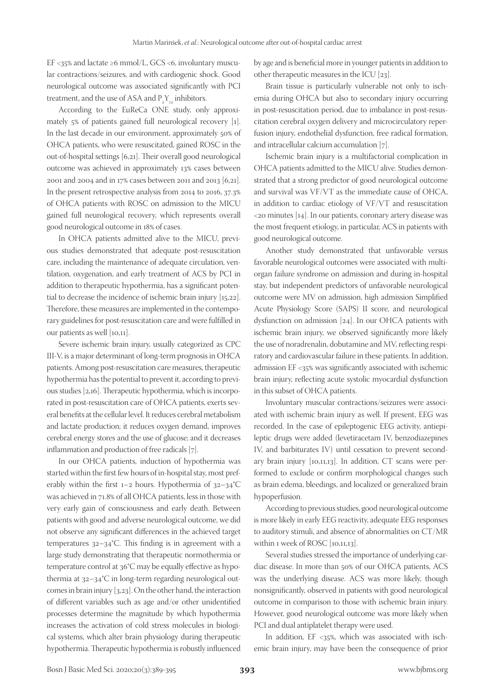EF <35% and lactate ≥6 mmol/L, GCS <6, involuntary muscular contractions/seizures, and with cardiogenic shock. Good neurological outcome was associated significantly with PCI treatment, and the use of ASA and  $P_2Y_{12}$  inhibitors.

According to the EuReCa ONE study, only approximately 5% of patients gained full neurological recovery [1]. In the last decade in our environment, approximately 50% of OHCA patients, who were resuscitated, gained ROSC in the out-of-hospital settings [6,21]. Their overall good neurological outcome was achieved in approximately 13% cases between 2001 and 2004 and in 17% cases between 2011 and 2013 [6,21]. In the present retrospective analysis from 2014 to 2016, 37.3% of OHCA patients with ROSC on admission to the MICU gained full neurological recovery, which represents overall good neurological outcome in 18% of cases.

In OHCA patients admitted alive to the MICU, previous studies demonstrated that adequate post-resuscitation care, including the maintenance of adequate circulation, ventilation, oxygenation, and early treatment of ACS by PCI in addition to therapeutic hypothermia, has a significant potential to decrease the incidence of ischemic brain injury [15,22]. Therefore, these measures are implemented in the contemporary guidelines for post-resuscitation care and were fulfilled in our patients as well [10,11].

Severe ischemic brain injury, usually categorized as CPC III-V, is a major determinant of long-term prognosis in OHCA patients. Among post-resuscitation care measures, therapeutic hypothermia has the potential to prevent it, according to previous studies [2,16]. Therapeutic hypothermia, which is incorporated in post-resuscitation care of OHCA patients, exerts several benefits at the cellular level. It reduces cerebral metabolism and lactate production; it reduces oxygen demand, improves cerebral energy stores and the use of glucose; and it decreases inflammation and production of free radicals [7].

In our OHCA patients, induction of hypothermia was started within the first few hours of in-hospital stay, most preferably within the first 1–2 hours. Hypothermia of 32–34°C was achieved in 71.8% of all OHCA patients, less in those with very early gain of consciousness and early death. Between patients with good and adverse neurological outcome, we did not observe any significant differences in the achieved target temperatures 32–34°C. This finding is in agreement with a large study demonstrating that therapeutic normothermia or temperature control at 36°C may be equally effective as hypothermia at 32–34°C in long-term regarding neurological outcomes in brain injury [3,23]. On the other hand, the interaction of different variables such as age and/or other unidentified processes determine the magnitude by which hypothermia increases the activation of cold stress molecules in biological systems, which alter brain physiology during therapeutic hypothermia. Therapeutic hypothermia is robustly influenced

by age and is beneficial more in younger patients in addition to other therapeutic measures in the ICU [23].

Brain tissue is particularly vulnerable not only to ischemia during OHCA but also to secondary injury occurring in post-resuscitation period, due to imbalance in post-resuscitation cerebral oxygen delivery and microcirculatory reperfusion injury, endothelial dysfunction, free radical formation, and intracellular calcium accumulation [7].

Ischemic brain injury is a multifactorial complication in OHCA patients admitted to the MICU alive. Studies demonstrated that a strong predictor of good neurological outcome and survival was VF/VT as the immediate cause of OHCA, in addition to cardiac etiology of VF/VT and resuscitation <20 minutes [14]. In our patients, coronary artery disease was the most frequent etiology, in particular, ACS in patients with good neurological outcome.

Another study demonstrated that unfavorable versus favorable neurological outcomes were associated with multiorgan failure syndrome on admission and during in-hospital stay, but independent predictors of unfavorable neurological outcome were MV on admission, high admission Simplified Acute Physiology Score (SAPS) II score, and neurological dysfunction on admission [24]. In our OHCA patients with ischemic brain injury, we observed significantly more likely the use of noradrenalin, dobutamine and MV, reflecting respiratory and cardiovascular failure in these patients. In addition, admission EF <35% was significantly associated with ischemic brain injury, reflecting acute systolic myocardial dysfunction in this subset of OHCA patients.

Involuntary muscular contractions/seizures were associated with ischemic brain injury as well. If present, EEG was recorded. In the case of epileptogenic EEG activity, antiepileptic drugs were added (levetiracetam IV, benzodiazepines IV, and barbiturates IV) until cessation to prevent secondary brain injury [10,11,13]. In addition, CT scans were performed to exclude or confirm morphological changes such as brain edema, bleedings, and localized or generalized brain hypoperfusion.

According to previous studies, good neurological outcome is more likely in early EEG reactivity, adequate EEG responses to auditory stimuli, and absence of abnormalities on CT/MR within 1 week of ROSC [10,11,13].

Several studies stressed the importance of underlying cardiac disease. In more than 50% of our OHCA patients, ACS was the underlying disease. ACS was more likely, though nonsignificantly, observed in patients with good neurological outcome in comparison to those with ischemic brain injury. However, good neurological outcome was more likely when PCI and dual antiplatelet therapy were used.

In addition,  $EF < 35\%$ , which was associated with ischemic brain injury, may have been the consequence of prior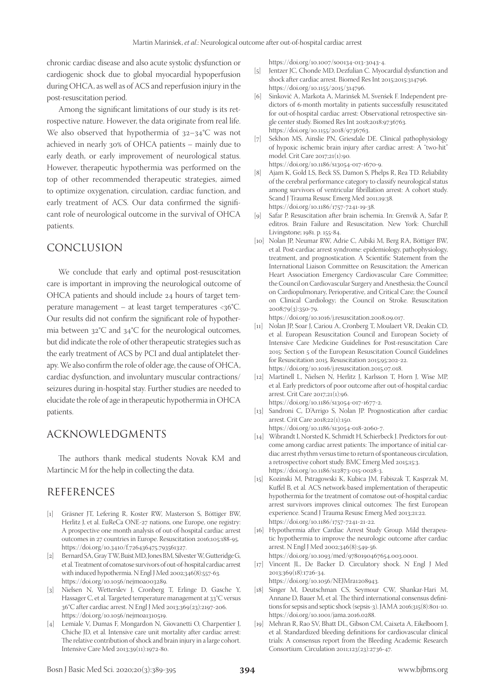chronic cardiac disease and also acute systolic dysfunction or cardiogenic shock due to global myocardial hypoperfusion during OHCA, as well as of ACS and reperfusion injury in the post-resuscitation period.

Among the significant limitations of our study is its retrospective nature. However, the data originate from real life. We also observed that hypothermia of 32–34°C was not achieved in nearly 30% of OHCA patients – mainly due to early death, or early improvement of neurological status. However, therapeutic hypothermia was performed on the top of other recommended therapeutic strategies, aimed to optimize oxygenation, circulation, cardiac function, and early treatment of ACS. Our data confirmed the significant role of neurological outcome in the survival of OHCA patients.

# CONCLUSION

We conclude that early and optimal post-resuscitation care is important in improving the neurological outcome of OHCA patients and should include 24 hours of target temperature management – at least target temperatures <36°C. Our results did not confirm the significant role of hypothermia between 32°C and 34°C for the neurological outcomes, but did indicate the role of other therapeutic strategies such as the early treatment of ACS by PCI and dual antiplatelet therapy. We also confirm the role of older age, the cause of OHCA, cardiac dysfunction, and involuntary muscular contractions/ seizures during in-hospital stay. Further studies are needed to elucidate the role of age in therapeutic hypothermia in OHCA patients.

## ACKNOWLEDGMENTS

The authors thank medical students Novak KM and Martincic M for the help in collecting the data.

# REFERENCES

- [1] Gräsner JT, Lefering R, Koster RW, Masterson S, Böttiger BW, Herlitz J, et al. EuReCa ONE-27 nations, one Europe, one registry: A prospective one month analysis of out-of-hospital cardiac arrest outcomes in 27 countries in Europe. Resuscitation 2016;105:188-95. https://doi.org/10.3410/f.726436475.793561327.
- [2] Bernard SA, Gray TW, Buist MD, Jones BM, Silvester W, Gutteridge G, et al. Treatment of comatose survivors of out-of-hospital cardiac arrest with induced hypothermia. N Engl J Med 2002;346(8):557-63. https://doi.org/10.1056/nejmoa003289.
- [3] Nielsen N, Wetterslev J, Cronberg T, Erlinge D, Gasche Y, Hassager C, et al. Targeted temperature management at 33°C versus 36°C after cardiac arrest. N Engl J Med 2013;369(23):2197-206. https://doi.org/10.1056/nejmoa1310519.
- [4] Lemiale V, Dumas F, Mongardon N, Giovanetti O, Charpentier J, Chiche JD, et al. Intensive care unit mortality after cardiac arrest: The relative contribution of shock and brain injury in a large cohort. Intensive Care Med 2013;39(11):1972-80.

https://doi.org/10.1007/s00134-013-3043-4.

- [5] Jentzer JC, Chonde MD, Dezfulian C. Myocardial dysfunction and shock after cardiac arrest. Biomed Res Int 2015;2015:314796. https://doi.org/10.1155/2015/314796.
- [6] Sinkovič A, Markota A, Marinšek M, Svenšek F. Independent predictors of 6-month mortality in patients successfully resuscitated for out-of-hospital cardiac arrest: Observational retrospective single center study. Biomed Res Int 2018;2018:9736763. https://doi.org/10.1155/2018/9736763.
- [7] Sekhon MS, Ainslie PN, Griesdale DE. Clinical pathophysiology of hypoxic ischemic brain injury after cardiac arrest: A "two-hit" model. Crit Care 2017;21(1):90. https://doi.org/10.1186/s13054-017-1670-9.
- [8] Ajam K, Gold LS, Beck SS, Damon S, Phelps R, Rea TD. Reliability of the cerebral performance category to classify neurological status among survivors of ventricular fibrillation arrest: A cohort study. Scand J Trauma Resusc Emerg Med 2011;19:38. https://doi.org/10.1186/1757-7241-19-38.
- [9] Safar P. Resuscitation after brain ischemia. In: Grenvik A, Safar P, editros. Brain Failure and Resuscitation. New York: Churchill Livingstone; 1981. p. 155-84.
- [10] Nolan JP, Neumar RW, Adrie C, Aibiki M, Berg RA, Böttiger BW, et al. Post-cardiac arrest syndrome: epidemiology, pathophysiology, treatment, and prognostication. A Scientific Statement from the International Liaison Committee on Resuscitation; the American Heart Association Emergency Cardiovascular Care Committee; the Council on Cardiovascular Surgery and Anesthesia; the Council on Cardiopulmonary, Perioperative, and Critical Care; the Council on Clinical Cardiology; the Council on Stroke. Resuscitation 2008;79(3):350-79.

https://doi.org/10.1016/j.resuscitation.2008.09.017.

- [11] Nolan JP, Soar J, Cariou A, Cronberg T, Moulaert VR, Deakin CD, et al. European Resuscitation Council and European Society of Intensive Care Medicine Guidelines for Post-resuscitation Care 2015: Section 5 of the European Resuscitation Council Guidelines for Resuscitation 2015. Resuscitation 2015;95:202-22. https://doi.org/10.1016/j.resuscitation.2015.07.018.
- [12] Martinell L, Nielsen N, Herlitz J, Karlsson T, Horn J, Wise MP, et al. Early predictors of poor outcome after out-of-hospital cardiac arrest. Crit Care 2017;21(1):96. https://doi.org/10.1186/s13054-017-1677-2.
- [13] Sandroni C, D'Arrigo S, Nolan JP. Prognostication after cardiac arrest. Crit Care 2018;22(1):150. https://doi.org/10.1186/s13054-018-2060-7.
- [14] Wibrandt I, Norsted K, Schmidt H, Schierbeck J. Predictors for outcome among cardiac arrest patients: The importance of initial cardiac arrest rhythm versus time to return of spontaneous circulation, a retrospective cohort study. BMC Emerg Med 2015;15:3. https://doi.org/10.1186/s12873-015-0028-3.
- [15] Kozinski M, Pstragowski K, Kubica JM, Fabiszak T, Kasprzak M, Kuffel B, et al. ACS network-based implementation of therapeutic hypothermia for the treatment of comatose out-of-hospital cardiac arrest survivors improves clinical outcomes: The first European experience. Scand J Trauma Resusc Emerg Med 2013;21:22. https://doi.org/10.1186/1757-7241-21-22.
- [16] Hypothermia after Cardiac Arrest Study Group. Mild therapeutic hypothermia to improve the neurologic outcome after cardiac arrest. N Engl J Med 2002;346(8):549-56. https://doi.org/10.1093/med/9780190467654.003.0001.
- [17] Vincent JL, De Backer D. Circulatory shock. N Engl J Med 2013;369(18):1726-34.

https://doi.org/10.1056/NEJMra1208943.

- [18] Singer M, Deutschman CS, Seymour CW, Shankar-Hari M, Annane D, Bauer M, et al. The third international consensus definitions for sepsis and septic shock (sepsis-3). JAMA 2016;315(8):801-10. https://doi.org/10.1001/jama.2016.0288.
- [19] Mehran R, Rao SV, Bhatt DL, Gibson CM, Caixeta A, Eikelboom J, et al. Standardized bleeding definitions for cardiovascular clinical trials: A consensus report from the Bleeding Academic Research Consortium. Circulation 2011;123(23):2736-47.